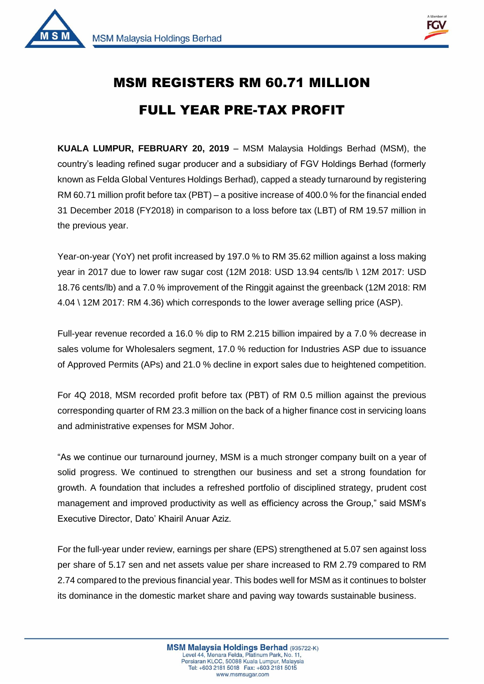



1

## MSM REGISTERS RM 60.71 MILLION FULL YEAR PRE-TAX PROFIT

**KUALA LUMPUR, FEBRUARY 20, 2019** – MSM Malaysia Holdings Berhad (MSM), the country's leading refined sugar producer and a subsidiary of FGV Holdings Berhad (formerly known as Felda Global Ventures Holdings Berhad), capped a steady turnaround by registering RM 60.71 million profit before tax (PBT) – a positive increase of 400.0 % for the financial ended 31 December 2018 (FY2018) in comparison to a loss before tax (LBT) of RM 19.57 million in the previous year.

Year-on-year (YoY) net profit increased by 197.0 % to RM 35.62 million against a loss making year in 2017 due to lower raw sugar cost (12M 2018: USD 13.94 cents/lb \ 12M 2017: USD 18.76 cents/lb) and a 7.0 % improvement of the Ringgit against the greenback (12M 2018: RM 4.04 \ 12M 2017: RM 4.36) which corresponds to the lower average selling price (ASP).

Full-year revenue recorded a 16.0 % dip to RM 2.215 billion impaired by a 7.0 % decrease in sales volume for Wholesalers segment, 17.0 % reduction for Industries ASP due to issuance of Approved Permits (APs) and 21.0 % decline in export sales due to heightened competition.

For 4Q 2018, MSM recorded profit before tax (PBT) of RM 0.5 million against the previous corresponding quarter of RM 23.3 million on the back of a higher finance cost in servicing loans and administrative expenses for MSM Johor.

"As we continue our turnaround journey, MSM is a much stronger company built on a year of solid progress. We continued to strengthen our business and set a strong foundation for growth. A foundation that includes a refreshed portfolio of disciplined strategy, prudent cost management and improved productivity as well as efficiency across the Group," said MSM's Executive Director, Dato' Khairil Anuar Aziz.

For the full-year under review, earnings per share (EPS) strengthened at 5.07 sen against loss per share of 5.17 sen and net assets value per share increased to RM 2.79 compared to RM 2.74 compared to the previous financial year. This bodes well for MSM as it continues to bolster its dominance in the domestic market share and paving way towards sustainable business.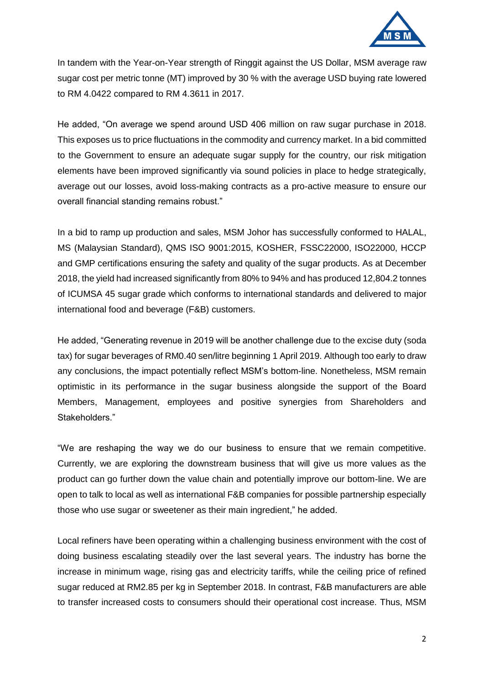

In tandem with the Year-on-Year strength of Ringgit against the US Dollar, MSM average raw sugar cost per metric tonne (MT) improved by 30 % with the average USD buying rate lowered to RM 4.0422 compared to RM 4.3611 in 2017.

He added, "On average we spend around USD 406 million on raw sugar purchase in 2018. This exposes us to price fluctuations in the commodity and currency market. In a bid committed to the Government to ensure an adequate sugar supply for the country, our risk mitigation elements have been improved significantly via sound policies in place to hedge strategically, average out our losses, avoid loss-making contracts as a pro-active measure to ensure our overall financial standing remains robust."

In a bid to ramp up production and sales, MSM Johor has successfully conformed to HALAL, MS (Malaysian Standard), QMS ISO 9001:2015, KOSHER, FSSC22000, ISO22000, HCCP and GMP certifications ensuring the safety and quality of the sugar products. As at December 2018, the yield had increased significantly from 80% to 94% and has produced 12,804.2 tonnes of ICUMSA 45 sugar grade which conforms to international standards and delivered to major international food and beverage (F&B) customers.

He added, "Generating revenue in 2019 will be another challenge due to the excise duty (soda tax) for sugar beverages of RM0.40 sen/litre beginning 1 April 2019. Although too early to draw any conclusions, the impact potentially reflect MSM's bottom-line. Nonetheless, MSM remain optimistic in its performance in the sugar business alongside the support of the Board Members, Management, employees and positive synergies from Shareholders and Stakeholders."

"We are reshaping the way we do our business to ensure that we remain competitive. Currently, we are exploring the downstream business that will give us more values as the product can go further down the value chain and potentially improve our bottom-line. We are open to talk to local as well as international F&B companies for possible partnership especially those who use sugar or sweetener as their main ingredient," he added.

Local refiners have been operating within a challenging business environment with the cost of doing business escalating steadily over the last several years. The industry has borne the increase in minimum wage, rising gas and electricity tariffs, while the ceiling price of refined sugar reduced at RM2.85 per kg in September 2018. In contrast, F&B manufacturers are able to transfer increased costs to consumers should their operational cost increase. Thus, MSM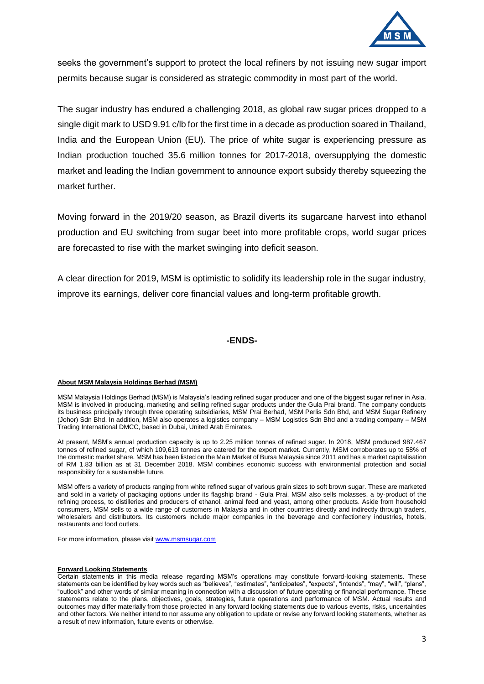

seeks the government's support to protect the local refiners by not issuing new sugar import permits because sugar is considered as strategic commodity in most part of the world.

The sugar industry has endured a challenging 2018, as global raw sugar prices dropped to a single digit mark to USD 9.91 c/lb for the first time in a decade as production soared in Thailand, India and the European Union (EU). The price of white sugar is experiencing pressure as Indian production touched 35.6 million tonnes for 2017-2018, oversupplying the domestic market and leading the Indian government to announce export subsidy thereby squeezing the market further.

Moving forward in the 2019/20 season, as Brazil diverts its sugarcane harvest into ethanol production and EU switching from sugar beet into more profitable crops, world sugar prices are forecasted to rise with the market swinging into deficit season.

A clear direction for 2019, MSM is optimistic to solidify its leadership role in the sugar industry, improve its earnings, deliver core financial values and long-term profitable growth.

**-ENDS-**

## **About MSM Malaysia Holdings Berhad (MSM)**

MSM Malaysia Holdings Berhad (MSM) is Malaysia's leading refined sugar producer and one of the biggest sugar refiner in Asia. MSM is involved in producing, marketing and selling refined sugar products under the Gula Prai brand. The company conducts its business principally through three operating subsidiaries, MSM Prai Berhad, MSM Perlis Sdn Bhd, and MSM Sugar Refinery (Johor) Sdn Bhd. In addition, MSM also operates a logistics company – MSM Logistics Sdn Bhd and a trading company – MSM Trading International DMCC, based in Dubai, United Arab Emirates.

At present, MSM's annual production capacity is up to 2.25 million tonnes of refined sugar. In 2018, MSM produced 987.467 tonnes of refined sugar, of which 109,613 tonnes are catered for the export market. Currently, MSM corroborates up to 58% of the domestic market share. MSM has been listed on the Main Market of Bursa Malaysia since 2011 and has a market capitalisation of RM 1.83 billion as at 31 December 2018. MSM combines economic success with environmental protection and social responsibility for a sustainable future.

MSM offers a variety of products ranging from white refined sugar of various grain sizes to soft brown sugar. These are marketed and sold in a variety of packaging options under its flagship brand - Gula Prai. MSM also sells molasses, a by-product of the refining process, to distilleries and producers of ethanol, animal feed and yeast, among other products. Aside from household consumers, MSM sells to a wide range of customers in Malaysia and in other countries directly and indirectly through traders, wholesalers and distributors. Its customers include major companies in the beverage and confectionery industries, hotels, restaurants and food outlets.

For more information, please visi[t www.msmsugar.com](http://www.msmsugar.com/)

## **Forward Looking Statements**

Certain statements in this media release regarding MSM's operations may constitute forward-looking statements. These statements can be identified by key words such as "believes", "estimates", "anticipates", "expects", "intends", "may", "will", "plans", "outlook" and other words of similar meaning in connection with a discussion of future operating or financial performance. These statements relate to the plans, objectives, goals, strategies, future operations and performance of MSM. Actual results and outcomes may differ materially from those projected in any forward looking statements due to various events, risks, uncertainties and other factors. We neither intend to nor assume any obligation to update or revise any forward looking statements, whether as a result of new information, future events or otherwise.